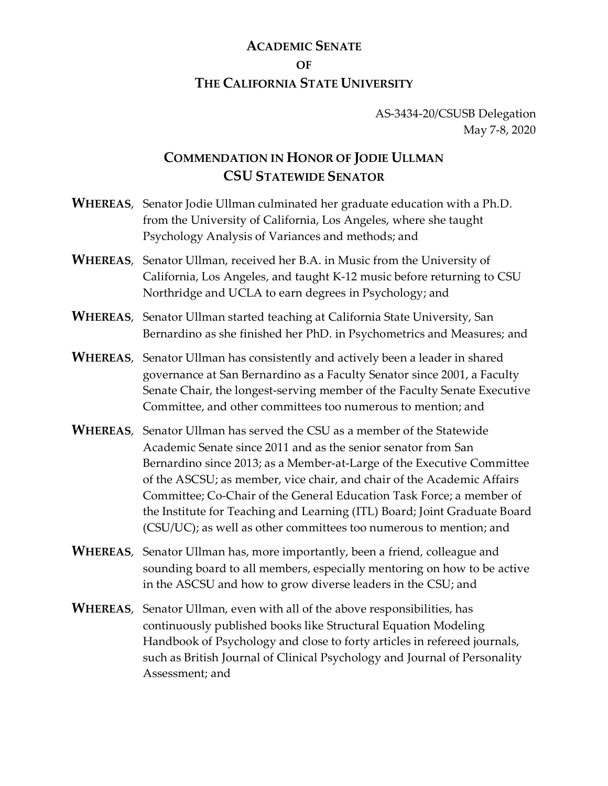## **ACADEMIC SENATE OF THE CALIFORNIA STATE UNIVERSITY**

## AS-3434-20/CSUSB Delegation May 7-8, 2020

## **COMMENDATION IN HONOR OF JODIE ULLMAN CSU STATEWIDE SENATOR**

- **WHEREAS**, Senator Jodie Ullman culminated her graduate education with a Ph.D. from the University of California, Los Angeles, where she taught Psychology Analysis of Variances and methods; and
- **WHEREAS**, Senator Ullman, received her B.A. in Music from the University of California, Los Angeles, and taught K-12 music before returning to CSU Northridge and UCLA to earn degrees in Psychology; and
- **WHEREAS**, Senator Ullman started teaching at California State University, San Bernardino as she finished her PhD. in Psychometrics and Measures; and
- **WHEREAS**, Senator Ullman has consistently and actively been a leader in shared governance at San Bernardino as a Faculty Senator since 2001, a Faculty Senate Chair, the longest-serving member of the Faculty Senate Executive Committee, and other committees too numerous to mention; and
- **WHEREAS**, Senator Ullman has served the CSU as a member of the Statewide Academic Senate since 2011 and as the senior senator from San Bernardino since 2013; as a Member-at-Large of the Executive Committee of the ASCSU; as member, vice chair, and chair of the Academic Affairs Committee; Co-Chair of the General Education Task Force; a member of the Institute for Teaching and Learning (ITL) Board; Joint Graduate Board (CSU/UC); as well as other committees too numerous to mention; and
- **WHEREAS**, Senator Ullman has, more importantly, been a friend, colleague and sounding board to all members, especially mentoring on how to be active in the ASCSU and how to grow diverse leaders in the CSU; and
- **WHEREAS**, Senator Ullman, even with all of the above responsibilities, has continuously published books like Structural Equation Modeling Handbook of Psychology and close to forty articles in refereed journals, such as British Journal of Clinical Psychology and Journal of Personality Assessment; and